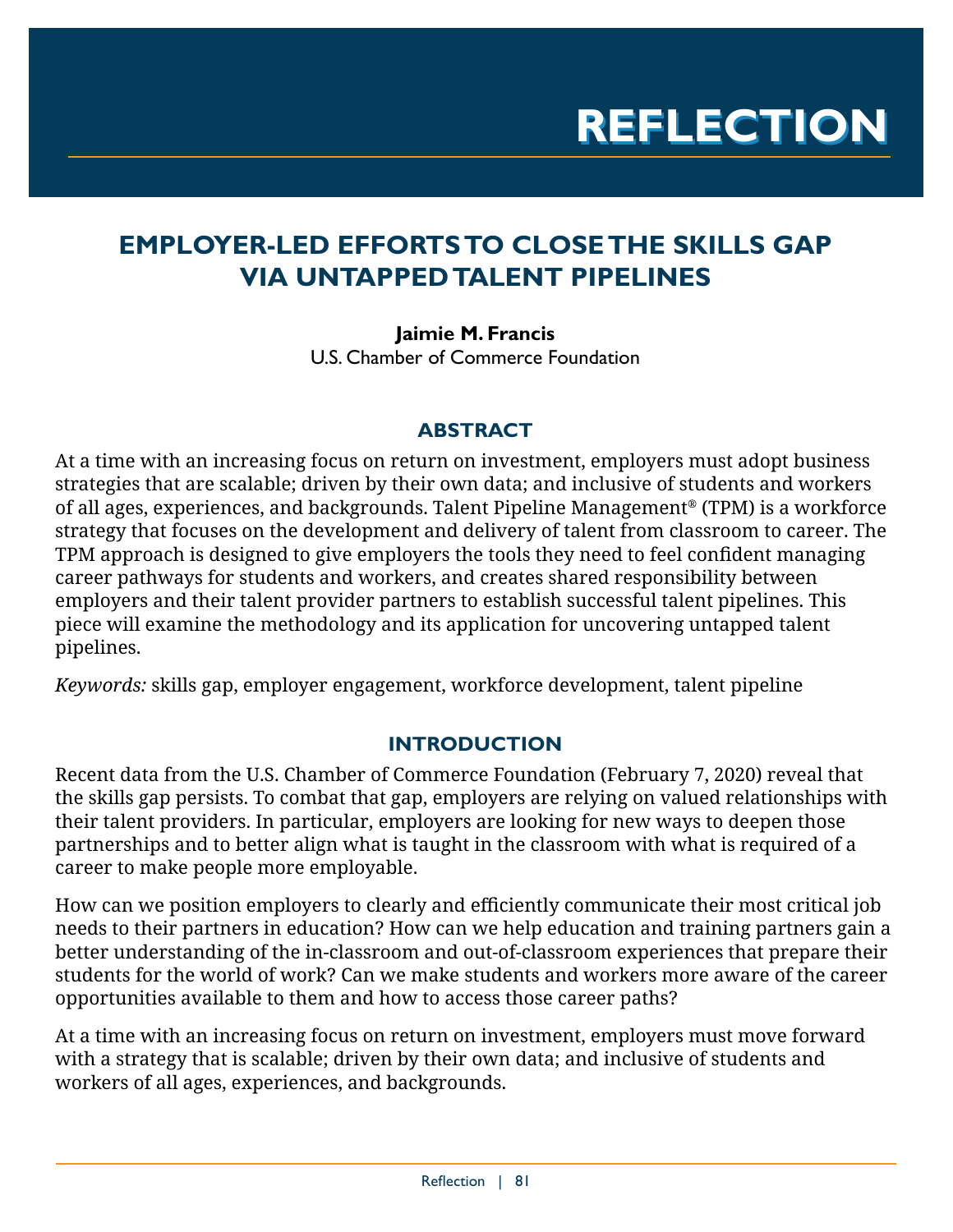# **EMPLOYER-LED EFFORTS TO CLOSE THE SKILLS GAP VIA UNTAPPED TALENT PIPELINES**

**Jaimie M. Francis**  U.S. Chamber of Commerce Foundation

# **ABSTRACT**

At a time with an increasing focus on return on investment, employers must adopt business strategies that are scalable; driven by their own data; and inclusive of students and workers of all ages, experiences, and backgrounds. Talent Pipeline Management® (TPM) is a workforce strategy that focuses on the development and delivery of talent from classroom to career. The TPM approach is designed to give employers the tools they need to feel confident managing career pathways for students and workers, and creates shared responsibility between employers and their talent provider partners to establish successful talent pipelines. This piece will examine the methodology and its application for uncovering untapped talent pipelines.

*Keywords:* skills gap, employer engagement, workforce development, talent pipeline

# **INTRODUCTION**

Recent [data from the U.S. Chamber of Commerce Foundation \(February 7, 2020\) reveal](https://www.uschamberfoundation.org/press-release/new-study-finds-growing-importance-competency-led-hiring-combat-skills-gap) that the skills gap persists. To combat that gap, employers are relying on valued relationships with their talent providers. In particular, employers are looking for new ways to deepen those partnerships and to better align what is taught in the classroom with what is required of a career to make people more employable.

How can we position employers to clearly and efficiently communicate their most critical job needs to their partners in education? How can we help education and training partners gain a better understanding of the in-classroom and out-of-classroom experiences that prepare their students for the world of work? Can we make students and workers more aware of the career opportunities available to them and how to access those career paths?

At a time with an increasing focus on return on investment, employers must move forward with a strategy that is scalable; driven by their own data; and inclusive of students and workers of all ages, experiences, and backgrounds.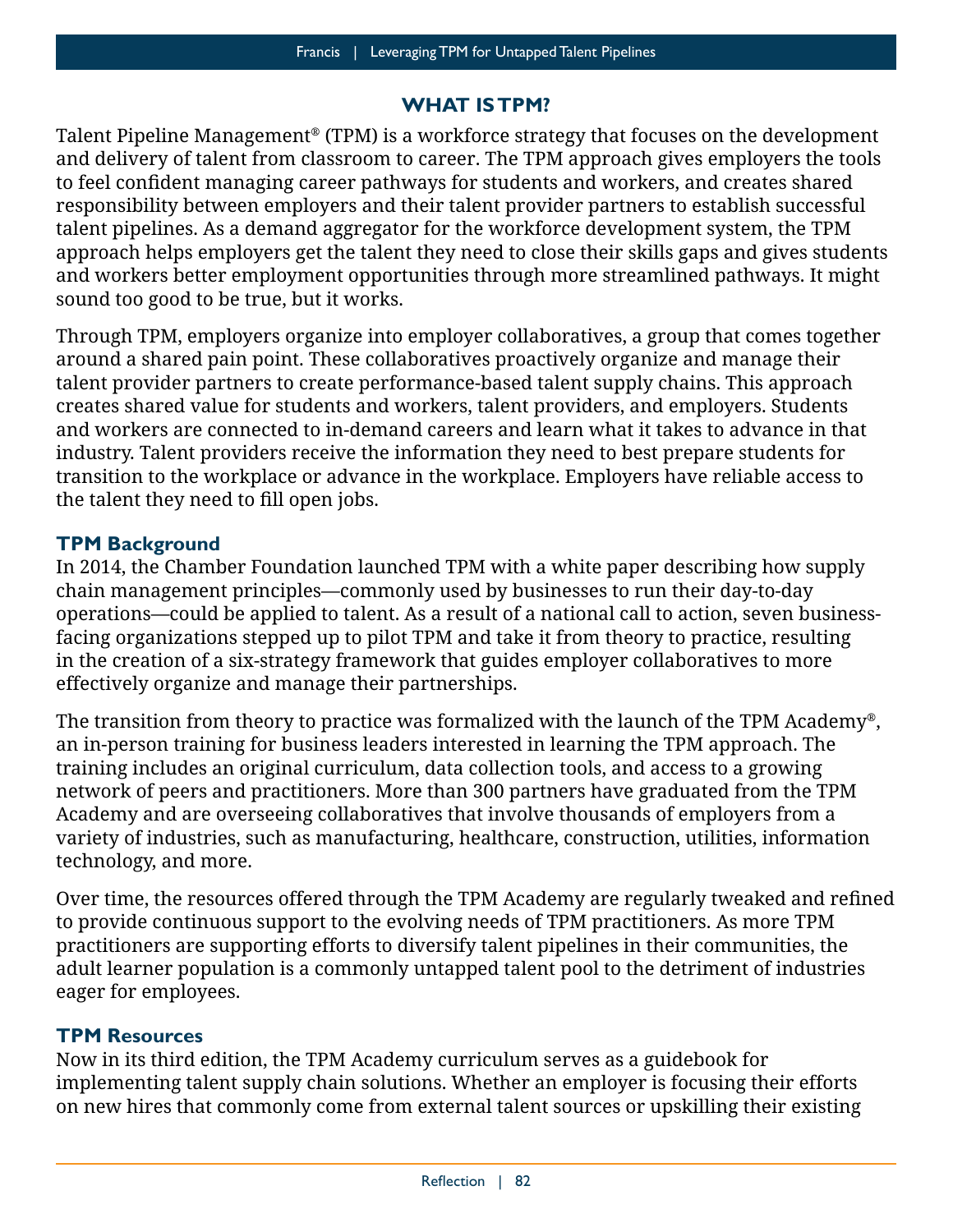### **WHAT IS TPM?**

Talent Pipeline Management® (TPM) is a workforce strategy that focuses on the development and delivery of talent from classroom to career. The TPM approach gives employers the tools to feel confident managing career pathways for students and workers, and creates shared responsibility between employers and their talent provider partners to establish successful talent pipelines. As a demand aggregator for the workforce development system, the TPM approach helps employers get the talent they need to close their skills gaps and gives students and workers better employment opportunities through more streamlined pathways. It might sound too good to be true, but it works.

Through TPM, employers organize into employer collaboratives, a group that comes together around a shared pain point. These collaboratives proactively organize and manage their talent provider partners to create performance-based talent supply chains. This approach creates shared value for students and workers, talent providers, and employers. Students and workers are connected to in-demand careers and learn what it takes to advance in that industry. Talent providers receive the information they need to best prepare students for transition to the workplace or advance in the workplace. Employers have reliable access to the talent they need to fill open jobs.

#### **TPM Background**

In 2014, the Chamber Foundation launched TPM with a white paper describing how supply chain management principles—commonly used by businesses to run their day-to-day operations—could be applied to talent. As a result of a national call to action, seven businessfacing organizations stepped up to pilot TPM and take it from theory to practice, resulting in the creation of a six-strategy framework that guides employer collaboratives to more effectively organize and manage their partnerships.

The transition from theory to practice was formalized with the launch of the [TPM Academy®](https://tpmacademy.uschamberfoundation.org/), an in-person training for business leaders interested in learning the TPM approach. The training includes an [original curriculum,](https://tpmacademy.uschamberfoundation.org/wp-content/uploads/2019/10/TPM-3.0_Curriculum_FINAL.pdf) data collection tools, and access to a [growing](https://www.uschamberfoundation.org/talent-pipeline-management/tpm-map)  [network of peers and practitioners](https://www.uschamberfoundation.org/talent-pipeline-management/tpm-map). More than 300 partners have graduated from the TPM Academy and are overseeing collaboratives that involve thousands of employers from a variety of industries, such as manufacturing, healthcare, construction, utilities, information technology, and more.

Over time, the resources offered through the TPM Academy are regularly tweaked and refined to provide continuous support to the evolving needs of TPM practitioners. As more TPM practitioners are supporting efforts to diversify talent pipelines in their communities, the adult learner population is a commonly untapped talent pool to the detriment of industries eager for employees.

#### **TPM Resources**

Now in its third edition, the TPM Academy curriculum serves as a guidebook for implementing talent supply chain solutions. Whether an employer is focusing their efforts on new hires that commonly come from external talent sources or upskilling their existing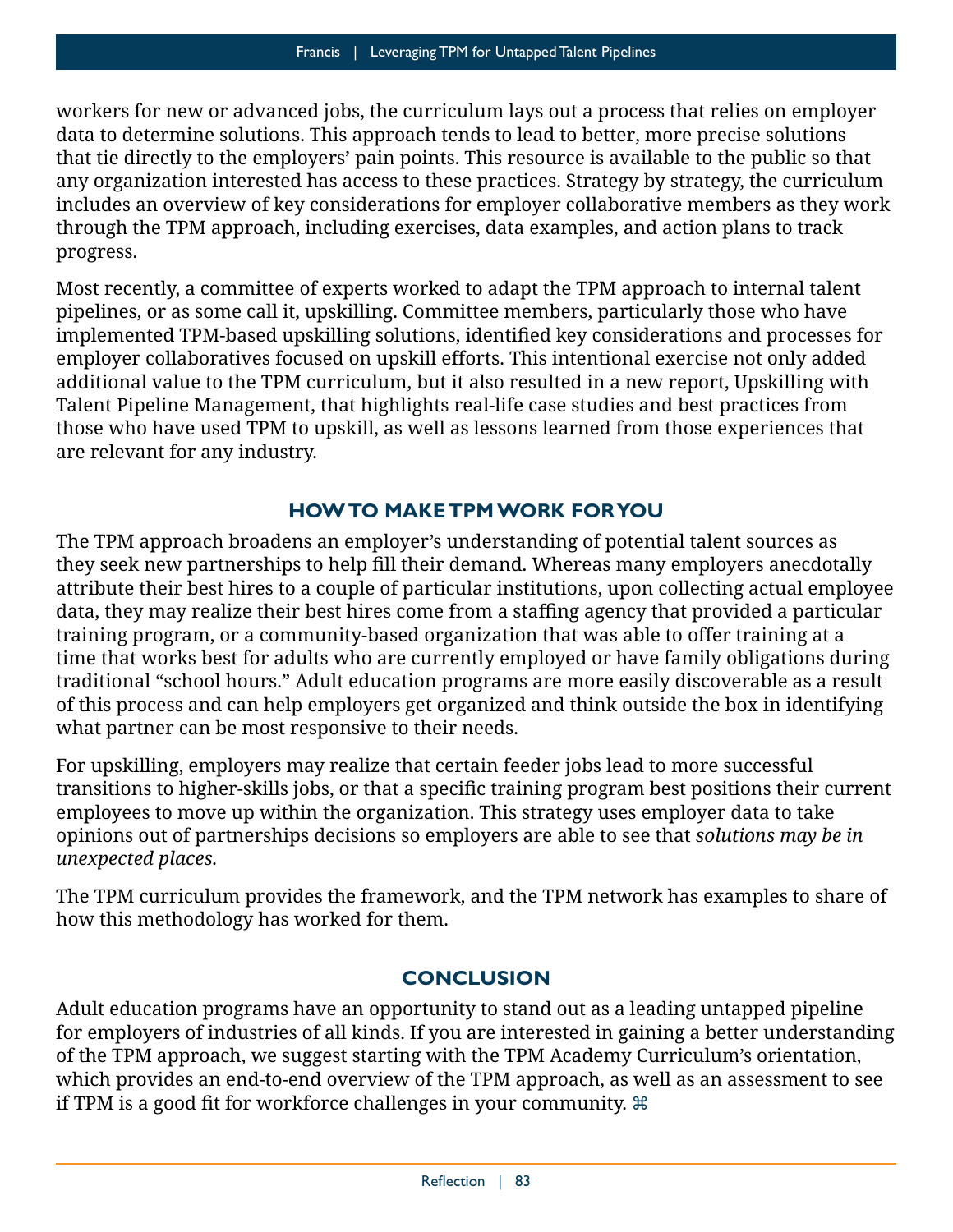workers for new or advanced jobs, the curriculum lays out a process that relies on employer data to determine solutions. This approach tends to lead to better, more precise solutions that tie directly to the employers' pain points. This resource is available to the public so that any organization interested has access to these practices. Strategy by strategy, the curriculum includes an overview of key considerations for employer collaborative members as they work through the TPM approach, including exercises, data examples, and action plans to track progress.

Most recently, a committee of experts worked to adapt the TPM approach to internal talent pipelines, or as some call it, upskilling. Committee members, particularly those who have implemented TPM-based upskilling solutions, identified key considerations and processes for employer collaboratives focused on upskill efforts. This intentional exercise not only added additional value to the TPM curriculum, but it also resulted in a new report, [Upskilling with](https://www.uschamberfoundation.org/sites/default/files/2020USCCF_TPMUpskillReport.pdf)  [Talent Pipeline Management,](https://www.uschamberfoundation.org/sites/default/files/2020USCCF_TPMUpskillReport.pdf) that highlights real-life case studies and best practices from those who have used TPM to upskill, as well as lessons learned from those experiences that are relevant for any industry.

## **HOW TO MAKE TPM WORK FOR YOU**

The TPM approach broadens an employer's understanding of potential talent sources as they seek new partnerships to help fill their demand. Whereas many employers anecdotally attribute their best hires to a couple of particular institutions, upon collecting actual employee data, they may realize their best hires come from a staffing agency that provided a particular training program, or a community-based organization that was able to offer training at a time that works best for adults who are currently employed or have family obligations during traditional "school hours." Adult education programs are more easily discoverable as a result of this process and can help employers get organized and think outside the box in identifying what partner can be most responsive to their needs.

For upskilling, employers may realize that certain feeder jobs lead to more successful transitions to higher-skills jobs, or that a specific training program best positions their current employees to move up within the organization. This strategy uses employer data to take opinions out of partnerships decisions so employers are able to see that *solutions may be in unexpected places.* 

The TPM curriculum provides the framework, and the TPM network has [examples to share](http://forwardontalent.org/) of how this methodology has worked for them.

## **CONCLUSION**

Adult education programs have an opportunity to stand out as a leading untapped pipeline for employers of industries of all kinds. If you are interested in gaining a better understanding of the TPM approach, we suggest starting with the [TPM Academy Curriculum's orientation,](https://tpmacademy.uschamberfoundation.org/wp-content/uploads/2019/10/TPM-3.0_Curriculum_FINAL.pdf) which provides an end-to-end overview of the TPM approach, as well as an assessment to see if TPM is a good fit for workforce challenges in your community.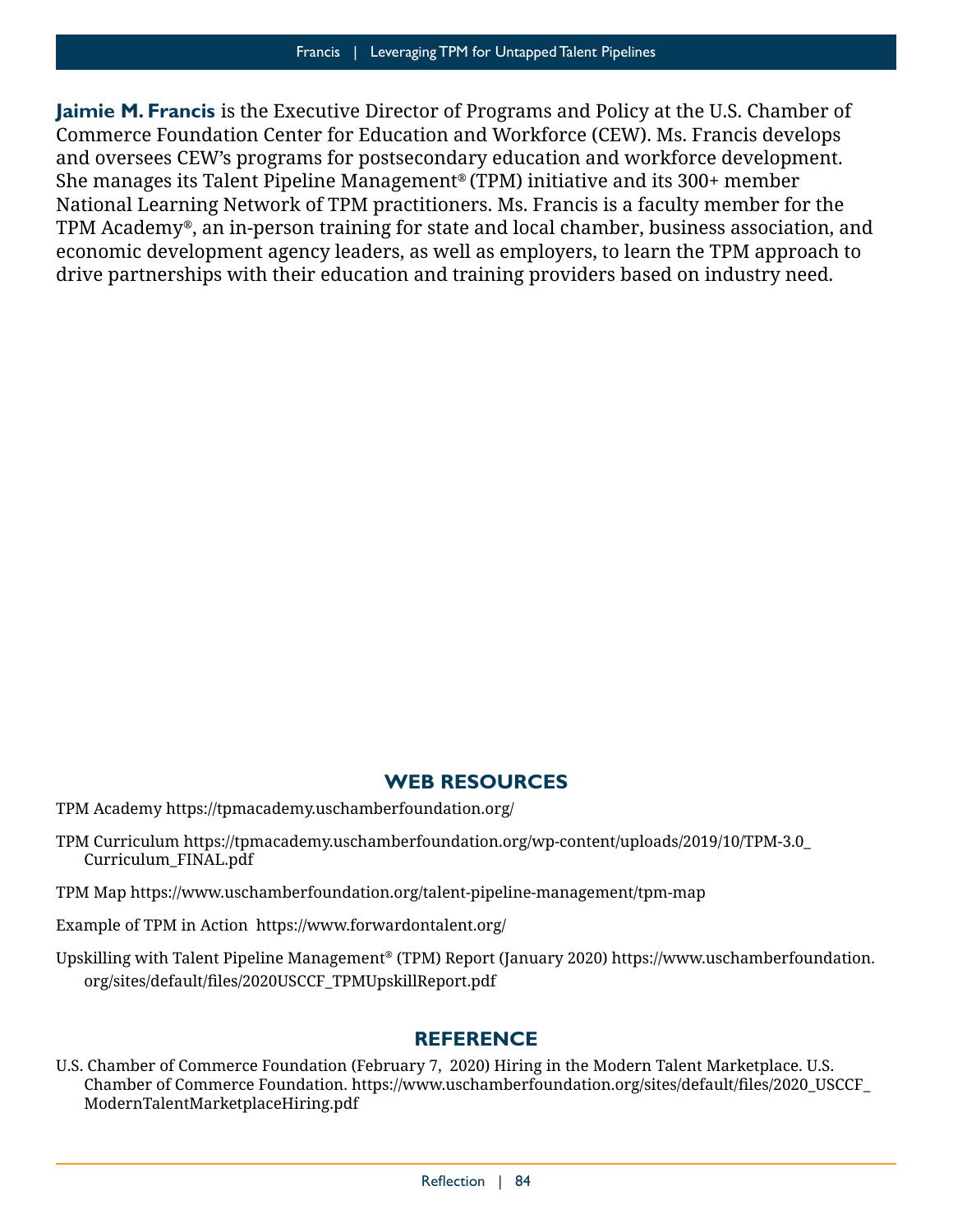**Jaimie M. Francis** is the Executive Director of Programs and Policy at the U.S. Chamber of Commerce Foundation Center for Education and Workforce (CEW). Ms. Francis develops and oversees CEW's programs for postsecondary education and workforce development. She manages its Talent Pipeline Management® (TPM) initiative and its 300+ member National Learning Network of TPM practitioners. Ms. Francis is a faculty member for the TPM Academy®, an in-person training for state and local chamber, business association, and economic development agency leaders, as well as employers, to learn the TPM approach to drive partnerships with their education and training providers based on industry need.

#### **WEB RESOURCES**

- TPM Academy <https://tpmacademy.uschamberfoundation.org/>
- TPM Curriculum [https://tpmacademy.uschamberfoundation.org/wp-content/uploads/2019/10/TPM-3.0\\_](https://tpmacademy.uschamberfoundation.org/wp-content/uploads/2019/10/TPM-3.0_Curriculum_FINAL.pdf) [Curriculum\\_FINAL.pdf](https://tpmacademy.uschamberfoundation.org/wp-content/uploads/2019/10/TPM-3.0_Curriculum_FINAL.pdf)
- TPM Map <https://www.uschamberfoundation.org/talent-pipeline-management/tpm-map>
- Example of TPM in Action <https://www.forwardontalent.org/>
- Upskilling with Talent Pipeline Management® (TPM) Report (January 2020) [https://www.uschamberfoundation.](https://www.uschamberfoundation.org/sites/default/files/2020USCCF_TPMUpskillReport.pdf) [org/sites/default/files/2020USCCF\\_TPMUpskillReport.pdf](https://www.uschamberfoundation.org/sites/default/files/2020USCCF_TPMUpskillReport.pdf)

#### **REFERENCE**

U.S. Chamber of Commerce Foundation (February 7, 2020) Hiring in the Modern Talent Marketplace. U.S. Chamber of Commerce Foundation. [https://www.uschamberfoundation.org/sites/default/files/2020\\_USCCF\\_](https://www.uschamberfoundation.org/sites/default/files/2020_USCCF_ModernTalentMarketplaceHiring.pdf) [ModernTalentMarketplaceHiring.pdf](https://www.uschamberfoundation.org/sites/default/files/2020_USCCF_ModernTalentMarketplaceHiring.pdf)